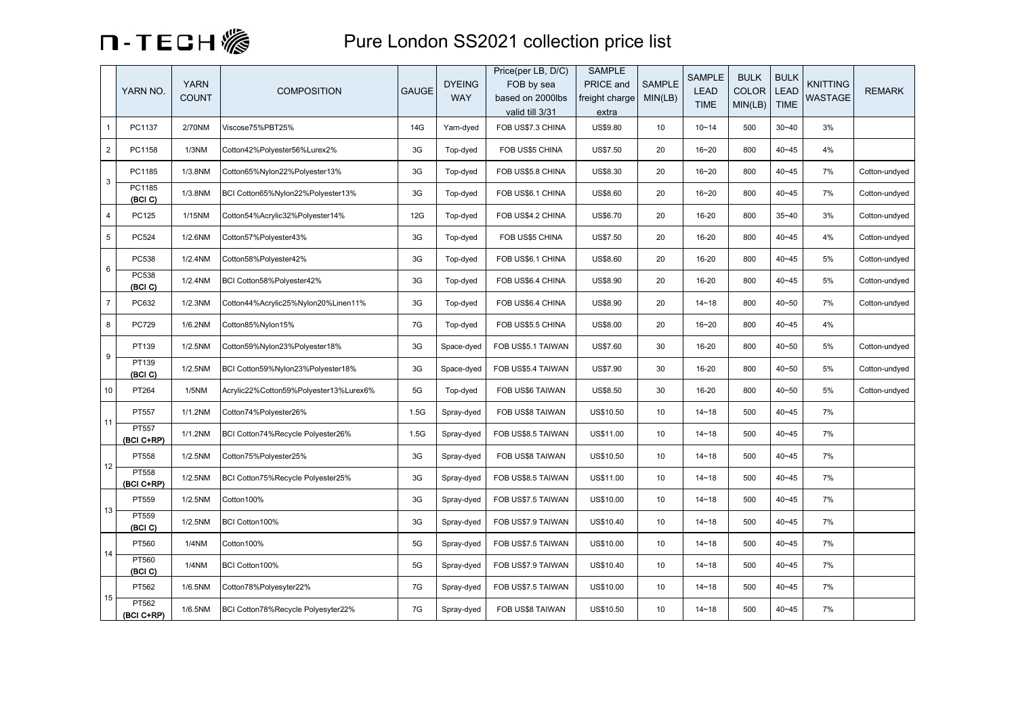

## **n** - **TECH** Sexteendon SS2021 collection price list

|                | YARN NO.            | <b>YARN</b><br><b>COUNT</b> | <b>COMPOSITION</b>                     | <b>GAUGE</b> | <b>DYEING</b><br><b>WAY</b> | Price(per LB, D/C)<br>FOB by sea<br>based on 2000lbs<br>valid till 3/31 | <b>SAMPLE</b><br>PRICE and<br>freight charge<br>extra | <b>SAMPLE</b><br>MIN(LB) | <b>SAMPLE</b><br><b>LEAD</b><br><b>TIME</b> | <b>BULK</b><br><b>COLOR</b><br>MIN(LB) | <b>BULK</b><br>LEAD<br><b>TIME</b> | <b>KNITTING</b><br><b>WASTAGE</b> | <b>REMARK</b> |
|----------------|---------------------|-----------------------------|----------------------------------------|--------------|-----------------------------|-------------------------------------------------------------------------|-------------------------------------------------------|--------------------------|---------------------------------------------|----------------------------------------|------------------------------------|-----------------------------------|---------------|
| $\mathbf{1}$   | PC1137              | 2/70NM                      | Viscose75%PBT25%                       | 14G          | Yarn-dyed                   | FOB US\$7.3 CHINA                                                       | <b>US\$9.80</b>                                       | 10                       | $10 - 14$                                   | 500                                    | $30 - 40$                          | 3%                                |               |
| $\overline{2}$ | PC1158              | 1/3NM                       | Cotton42%Polyester56%Lurex2%           | 3G           | Top-dyed                    | FOB US\$5 CHINA                                                         | <b>US\$7.50</b>                                       | 20                       | $16 - 20$                                   | 800                                    | $40 - 45$                          | 4%                                |               |
| 3              | PC1185              | 1/3.8NM                     | Cotton65%Nylon22%Polyester13%          | 3G           | Top-dyed                    | FOB US\$5.8 CHINA                                                       | <b>US\$8.30</b>                                       | 20                       | $16 - 20$                                   | 800                                    | $40 - 45$                          | 7%                                | Cotton-undyed |
|                | PC1185<br>(BCI C)   | 1/3.8NM                     | BCI Cotton65%Nylon22%Polyester13%      | 3G           | Top-dyed                    | FOB US\$6.1 CHINA                                                       | <b>US\$8.60</b>                                       | 20                       | $16 - 20$                                   | 800                                    | $40 - 45$                          | 7%                                | Cotton-undyed |
| 4              | PC125               | 1/15NM                      | Cotton54%Acrylic32%Polyester14%        | 12G          | Top-dyed                    | FOB US\$4.2 CHINA                                                       | US\$6.70                                              | 20                       | 16-20                                       | 800                                    | $35 - 40$                          | 3%                                | Cotton-undyed |
| 5              | PC524               | 1/2.6NM                     | Cotton57%Polyester43%                  | 3G           | Top-dyed                    | FOB US\$5 CHINA                                                         | US\$7.50                                              | 20                       | 16-20                                       | 800                                    | $40 - 45$                          | 4%                                | Cotton-undyed |
| 6              | PC538               | 1/2.4NM                     | Cotton58%Polyester42%                  | 3G           | Top-dyed                    | FOB US\$6.1 CHINA                                                       | US\$8.60                                              | 20                       | 16-20                                       | 800                                    | $40 - 45$                          | 5%                                | Cotton-undyed |
|                | PC538<br>(BCI C)    | 1/2.4NM                     | BCI Cotton58%Polyester42%              | 3G           | Top-dyed                    | FOB US\$6.4 CHINA                                                       | <b>US\$8.90</b>                                       | 20                       | 16-20                                       | 800                                    | $40 - 45$                          | 5%                                | Cotton-undyed |
| $\overline{7}$ | PC632               | 1/2.3NM                     | Cotton44%Acrylic25%Nylon20%Linen11%    | 3G           | Top-dyed                    | FOB US\$6.4 CHINA                                                       | US\$8.90                                              | 20                       | $14 - 18$                                   | 800                                    | $40 - 50$                          | 7%                                | Cotton-undyed |
| 8              | PC729               | 1/6.2NM                     | Cotton85%Nylon15%                      | 7G           | Top-dyed                    | FOB US\$5.5 CHINA                                                       | US\$8.00                                              | 20                       | $16 - 20$                                   | 800                                    | $40 - 45$                          | 4%                                |               |
| 9              | PT139               | 1/2.5NM                     | Cotton59%Nylon23%Polyester18%          | 3G           | Space-dyed                  | FOB US\$5.1 TAIWAN                                                      | <b>US\$7.60</b>                                       | 30                       | 16-20                                       | 800                                    | $40 - 50$                          | 5%                                | Cotton-undyed |
|                | PT139<br>(BCI C)    | 1/2.5NM                     | BCI Cotton59%Nylon23%Polyester18%      | 3G           | Space-dyed                  | FOB US\$5.4 TAIWAN                                                      | <b>US\$7.90</b>                                       | 30                       | 16-20                                       | 800                                    | $40 - 50$                          | 5%                                | Cotton-undyed |
| 10             | PT264               | 1/5NM                       | Acrylic22%Cotton59%Polyester13%Lurex6% | 5G           | Top-dyed                    | FOB US\$6 TAIWAN                                                        | <b>US\$8.50</b>                                       | 30                       | 16-20                                       | 800                                    | $40 - 50$                          | 5%                                | Cotton-undyed |
| 11             | PT557               | 1/1.2NM                     | Cotton74%Polyester26%                  | 1.5G         | Spray-dyed                  | FOB US\$8 TAIWAN                                                        | US\$10.50                                             | 10                       | $14 - 18$                                   | 500                                    | $40 - 45$                          | 7%                                |               |
|                | PT557<br>(BCI C+RP) | 1/1.2NM                     | BCI Cotton74%Recycle Polyester26%      | 1.5G         | Spray-dyed                  | FOB US\$8.5 TAIWAN                                                      | US\$11.00                                             | 10                       | $14 - 18$                                   | 500                                    | $40 - 45$                          | 7%                                |               |
| 12             | PT558               | 1/2.5NM                     | Cotton75%Polyester25%                  | 3G           | Spray-dyed                  | FOB US\$8 TAIWAN                                                        | US\$10.50                                             | 10                       | $14 - 18$                                   | 500                                    | $40 - 45$                          | 7%                                |               |
|                | PT558<br>(BCI C+RP) | 1/2.5NM                     | BCI Cotton75%Recycle Polyester25%      | 3G           | Spray-dyed                  | FOB US\$8.5 TAIWAN                                                      | US\$11.00                                             | 10                       | $14 - 18$                                   | 500                                    | $40 - 45$                          | 7%                                |               |
| 13             | PT559               | 1/2.5NM                     | Cotton100%                             | 3G           | Spray-dyed                  | FOB US\$7.5 TAIWAN                                                      | US\$10.00                                             | 10                       | $14 - 18$                                   | 500                                    | $40 - 45$                          | 7%                                |               |
|                | PT559<br>(BCI C)    | 1/2.5NM                     | BCI Cotton100%                         | 3G           | Spray-dyed                  | FOB US\$7.9 TAIWAN                                                      | US\$10.40                                             | 10                       | $14 - 18$                                   | 500                                    | $40 - 45$                          | 7%                                |               |
|                | PT560               | 1/4NM                       | Cotton100%                             | 5G           | Spray-dyed                  | FOB US\$7.5 TAIWAN                                                      | US\$10.00                                             | 10                       | $14 - 18$                                   | 500                                    | $40 - 45$                          | 7%                                |               |
| 14             | PT560<br>(BCI C)    | 1/4NM                       | BCI Cotton100%                         | 5G           | Spray-dyed                  | FOB US\$7.9 TAIWAN                                                      | US\$10.40                                             | 10                       | $14 - 18$                                   | 500                                    | $40 - 45$                          | 7%                                |               |
| 15             | PT562               | 1/6.5NM                     | Cotton78%Polyesyter22%                 | 7G           | Spray-dyed                  | FOB US\$7.5 TAIWAN                                                      | US\$10.00                                             | 10                       | $14 - 18$                                   | 500                                    | $40 - 45$                          | 7%                                |               |
|                | PT562<br>(BCI C+RP) | 1/6.5NM                     | BCI Cotton78%Recycle Polyesyter22%     | 7G           | Spray-dyed                  | FOB US\$8 TAIWAN                                                        | US\$10.50                                             | 10                       | $14 - 18$                                   | 500                                    | $40 - 45$                          | 7%                                |               |